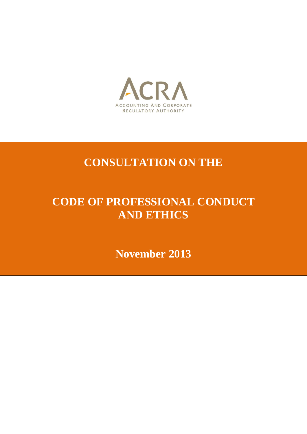

## **CONSULTATION ON THE**

# **CODE OF PROFESSIONAL CONDUCT AND ETHICS**

**November 2013**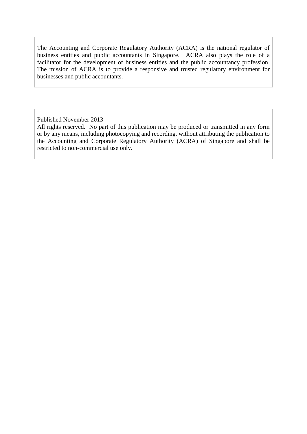The Accounting and Corporate Regulatory Authority (ACRA) is the national regulator of business entities and public accountants in Singapore. ACRA also plays the role of a facilitator for the development of business entities and the public accountancy profession. The mission of ACRA is to provide a responsive and trusted regulatory environment for businesses and public accountants.

Published November 2013

All rights reserved. No part of this publication may be produced or transmitted in any form or by any means, including photocopying and recording, without attributing the publication to the Accounting and Corporate Regulatory Authority (ACRA) of Singapore and shall be restricted to non-commercial use only.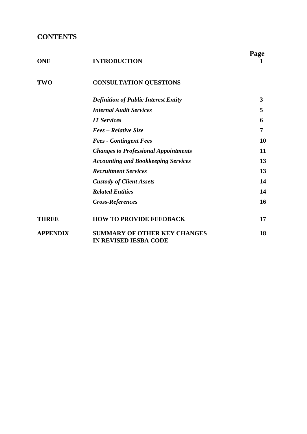## **CONTENTS**

| <b>ONE</b>      | <b>INTRODUCTION</b>                                                 | Page |
|-----------------|---------------------------------------------------------------------|------|
| <b>TWO</b>      | <b>CONSULTATION QUESTIONS</b>                                       |      |
|                 | <b>Definition of Public Interest Entity</b>                         | 3    |
|                 | <b>Internal Audit Services</b>                                      | 5    |
|                 | <b>IT Services</b>                                                  | 6    |
|                 | Fees – Relative Size                                                | 7    |
|                 | <b>Fees - Contingent Fees</b>                                       | 10   |
|                 | <b>Changes to Professional Appointments</b>                         | 11   |
|                 | <b>Accounting and Bookkeeping Services</b>                          | 13   |
|                 | <b>Recruitment Services</b>                                         | 13   |
|                 | <b>Custody of Client Assets</b>                                     | 14   |
|                 | <b>Related Entities</b>                                             | 14   |
|                 | <b>Cross-References</b>                                             | 16   |
| THREE           | <b>HOW TO PROVIDE FEEDBACK</b>                                      | 17   |
| <b>APPENDIX</b> | <b>SUMMARY OF OTHER KEY CHANGES</b><br><b>IN REVISED IESBA CODE</b> | 18   |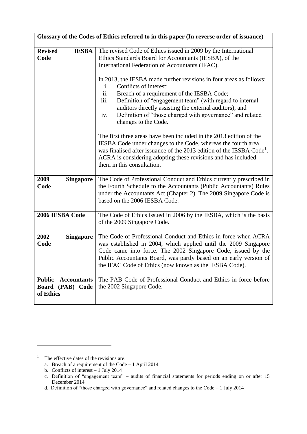| Glossary of the Codes of Ethics referred to in this paper (In reverse order of issuance) |                                                                                                                                                                                                                                                                                                                                                     |  |
|------------------------------------------------------------------------------------------|-----------------------------------------------------------------------------------------------------------------------------------------------------------------------------------------------------------------------------------------------------------------------------------------------------------------------------------------------------|--|
| <b>Revised</b><br><b>IESBA</b><br>Code                                                   | The revised Code of Ethics issued in 2009 by the International<br>Ethics Standards Board for Accountants (IESBA), of the<br>International Federation of Accountants (IFAC).<br>In 2013, the IESBA made further revisions in four areas as follows:<br>Conflicts of interest;<br>$\mathbf{i}$ .<br>ii.<br>Breach of a requirement of the IESBA Code; |  |
|                                                                                          | iii.<br>Definition of "engagement team" (with regard to internal<br>auditors directly assisting the external auditors); and<br>Definition of "those charged with governance" and related<br>iv.<br>changes to the Code.                                                                                                                             |  |
|                                                                                          | The first three areas have been included in the 2013 edition of the<br>IESBA Code under changes to the Code, whereas the fourth area<br>was finalised after issuance of the 2013 edition of the IESBA Code <sup>1</sup> .<br>ACRA is considering adopting these revisions and has included<br>them in this consultation.                            |  |
| 2009<br><b>Singapore</b><br>Code                                                         | The Code of Professional Conduct and Ethics currently prescribed in<br>the Fourth Schedule to the Accountants (Public Accountants) Rules<br>under the Accountants Act (Chapter 2). The 2009 Singapore Code is<br>based on the 2006 IESBA Code.                                                                                                      |  |
| 2006 IESBA Code                                                                          | The Code of Ethics issued in 2006 by the IESBA, which is the basis<br>of the 2009 Singapore Code.                                                                                                                                                                                                                                                   |  |
| 2002<br><b>Singapore</b><br>Code                                                         | The Code of Professional Conduct and Ethics in force when ACRA<br>was established in 2004, which applied until the 2009 Singapore<br>Code came into force. The 2002 Singapore Code, issued by the<br>Public Accountants Board, was partly based on an early version of<br>the IFAC Code of Ethics (now known as the IESBA Code).                    |  |
| <b>Public</b><br><b>Accountants</b><br>Board (PAB) Code<br>of Ethics                     | The PAB Code of Professional Conduct and Ethics in force before<br>the 2002 Singapore Code.                                                                                                                                                                                                                                                         |  |

<sup>&</sup>lt;sup>1</sup> The effective dates of the revisions are:

a. Breach of a requirement of the Code – 1 April 2014

b. Conflicts of interest – 1 July 2014

c. Definition of "engagement team" – audits of financial statements for periods ending on or after 15 December 2014

d. Definition of "those charged with governance" and related changes to the Code – 1 July 2014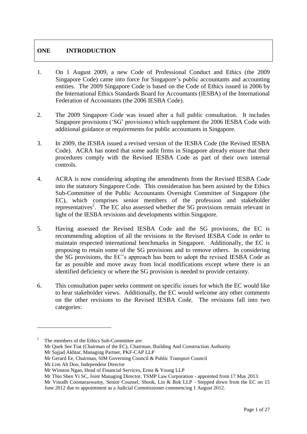## **ONE INTRODUCTION**

- 1. On 1 August 2009, a new Code of Professional Conduct and Ethics (the 2009 Singapore Code) came into force for Singapore's public accountants and accounting entities. The 2009 Singapore Code is based on the Code of Ethics issued in 2006 by the International Ethics Standards Board for Accountants (IESBA) of the International Federation of Accountants (the 2006 IESBA Code).
- 2. The 2009 Singapore Code was issued after a full public consultation. It includes Singapore provisions ('SG' provisions) which supplement the 2006 IESBA Code with additional guidance or requirements for public accountants in Singapore.
- 3. In 2009, the IESBA issued a revised version of the IESBA Code (the Revised IESBA Code). ACRA has noted that some audit firms in Singapore already ensure that their procedures comply with the Revised IESBA Code as part of their own internal controls.
- 4. ACRA is now considering adopting the amendments from the Revised IESBA Code into the statutory Singapore Code. This consideration has been assisted by the Ethics Sub-Committee of the Public Accountants Oversight Committee of Singapore (the EC), which comprises senior members of the profession and stakeholder representatives<sup>2</sup>. The EC also assessed whether the SG provisions remain relevant in light of the IESBA revisions and developments within Singapore.
- 5. Having assessed the Revised IESBA Code and the SG provisions, the EC is recommending adoption of all the revisions in the Revised IESBA Code in order to maintain respected international benchmarks in Singapore. Additionally, the EC is proposing to retain some of the SG provisions and to remove others. In considering the SG provisions, the EC's approach has been to adopt the revised IESBA Code as far as possible and move away from local modifications except where there is an identified deficiency or where the SG provision is needed to provide certainty.
- 6. This consultation paper seeks comment on specific issues for which the EC would like to hear stakeholder views. Additionally, the EC would welcome any other comments on the other revisions to the Revised IESBA Code. The revisions fall into two categories:

The members of the Ethics Sub-Committee are: Mr Quek See Tiat (Chairman of the EC), Chairman, Building And Construction Authority Mr Sajjad Akhtar, Managing Partner, PKF-CAP LLP Mr Gerard Ee, Chairman, SIM Governing Council & Public Transport Council

Mr Lim Ah Doo, Independent Director

Mr Winston Ngan, Head of Financial Services, Ernst & Young LLP

Mr Thio Shen Yi SC, Joint Managing Director, TSMP Law Corporation - appointed from 17 May 2013.

Mr Vinodh Coomaraswamy, Senior Counsel, Shook, Lin & Bok LLP - Stepped down from the EC on 15 June 2012 due to appointment as a Judicial Commissioner commencing 1 August 2012.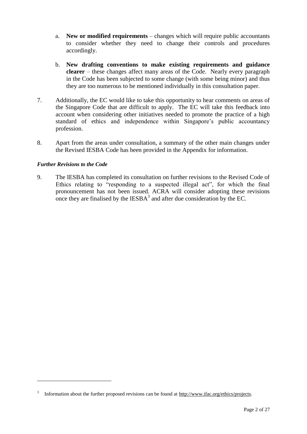- a. **New or modified requirements** changes which will require public accountants to consider whether they need to change their controls and procedures accordingly.
- b. **New drafting conventions to make existing requirements and guidance clearer** – these changes affect many areas of the Code. Nearly every paragraph in the Code has been subjected to some change (with some being minor) and thus they are too numerous to be mentioned individually in this consultation paper.
- 7. Additionally, the EC would like to take this opportunity to hear comments on areas of the Singapore Code that are difficult to apply. The EC will take this feedback into account when considering other initiatives needed to promote the practice of a high standard of ethics and independence within Singapore's public accountancy profession.
- 8. Apart from the areas under consultation, a summary of the other main changes under the Revised IESBA Code has been provided in the Appendix for information.

#### *Further Revisions to the Code*

1

9. The IESBA has completed its consultation on further revisions to the Revised Code of Ethics relating to "responding to a suspected illegal act", for which the final pronouncement has not been issued. ACRA will consider adopting these revisions once they are finalised by the  $IESBA<sup>3</sup>$  and after due consideration by the EC.

<sup>3</sup> Information about the further proposed revisions can be found at [http://www.ifac.org/ethics/projects.](http://www.ifac.org/ethics/projects)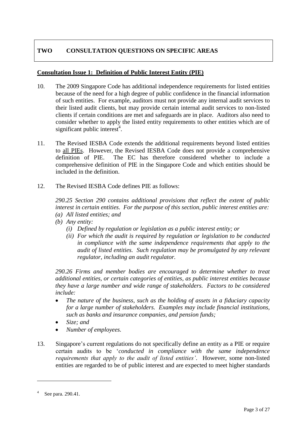## **TWO CONSULTATION QUESTIONS ON SPECIFIC AREAS**

#### **Consultation Issue 1: Definition of Public Interest Entity (PIE)**

- 10. The 2009 Singapore Code has additional independence requirements for listed entities because of the need for a high degree of public confidence in the financial information of such entities. For example, auditors must not provide any internal audit services to their listed audit clients, but may provide certain internal audit services to non-listed clients if certain conditions are met and safeguards are in place. Auditors also need to consider whether to apply the listed entity requirements to other entities which are of significant public interest<sup>4</sup>.
- 11. The Revised IESBA Code extends the additional requirements beyond listed entities to all PIEs. However, the Revised IESBA Code does not provide a comprehensive definition of PIE. The EC has therefore considered whether to include a comprehensive definition of PIE in the Singapore Code and which entities should be included in the definition.
- 12. The Revised IESBA Code defines PIE as follows:

*290.25 Section 290 contains additional provisions that reflect the extent of public interest in certain entities. For the purpose of this section, public interest entities are: (a) All listed entities; and*

- *(b) Any entity:*
	- *(i) Defined by regulation or legislation as a public interest entity; or*
	- *(ii) For which the audit is required by regulation or legislation to be conducted in compliance with the same independence requirements that apply to the audit of listed entities. Such regulation may be promulgated by any relevant regulator, including an audit regulator.*

*290.26 Firms and member bodies are encouraged to determine whether to treat additional entities, or certain categories of entities, as public interest entities because they have a large number and wide range of stakeholders. Factors to be considered include:*

- *The nature of the business, such as the holding of assets in a fiduciary capacity for a large number of stakeholders. Examples may include financial institutions, such as banks and insurance companies, and pension funds;*
- *Size; and*
- *Number of employees.*
- 13. Singapore's current regulations do not specifically define an entity as a PIE or require certain audits to be '*conducted in compliance with the same independence requirements that apply to the audit of listed entities'*. However, some non-listed entities are regarded to be of public interest and are expected to meet higher standards

<sup>4</sup> See para. 290.41.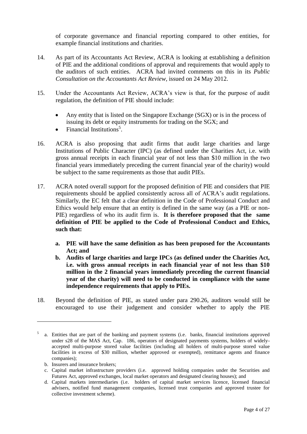of corporate governance and financial reporting compared to other entities, for example financial institutions and charities.

- 14. As part of its Accountants Act Review, ACRA is looking at establishing a definition of PIE and the additional conditions of approval and requirements that would apply to the auditors of such entities. ACRA had invited comments on this in its *Public Consultation on the Accountants Act Review,* issued on 24 May 2012.
- 15. Under the Accountants Act Review, ACRA's view is that, for the purpose of audit regulation, the definition of PIE should include:
	- Any entity that is listed on the Singapore Exchange (SGX) or is in the process of issuing its debt or equity instruments for trading on the SGX; and
	- Financial Institutions<sup>5</sup>.
- 16. ACRA is also proposing that audit firms that audit large charities and large Institutions of Public Character (IPC) (as defined under the Charities Act, i.e. with gross annual receipts in each financial year of not less than \$10 million in the two financial years immediately preceding the current financial year of the charity) would be subject to the same requirements as those that audit PIEs.
- 17. ACRA noted overall support for the proposed definition of PIE and considers that PIE requirements should be applied consistently across all of ACRA's audit regulations. Similarly, the EC felt that a clear definition in the Code of Professional Conduct and Ethics would help ensure that an entity is defined in the same way (as a PIE or non-PIE) regardless of who its audit firm is. **It is therefore proposed that the same definition of PIE be applied to the Code of Professional Conduct and Ethics, such that:** 
	- **a. PIE will have the same definition as has been proposed for the Accountants Act; and**
	- **b. Audits of large charities and large IPCs (as defined under the Charities Act, i.e. with gross annual receipts in each financial year of not less than \$10 million in the 2 financial years immediately preceding the current financial year of the charity) will need to be conducted in compliance with the same independence requirements that apply to PIEs.**
- 18. Beyond the definition of PIE, as stated under para 290.26, auditors would still be encouraged to use their judgement and consider whether to apply the PIE

<u>.</u>

<sup>5</sup> a. Entities that are part of the banking and payment systems (i.e. banks, financial institutions approved under s28 of the MAS Act, Cap. 186, operators of designated payments systems, holders of widelyaccepted multi-purpose stored value facilities (including all holders of multi-purpose stored value facilities in excess of \$30 million, whether approved or exempted), remittance agents and finance companies);

b. Insurers and insurance brokers;

c. Capital market infrastructure providers (i.e. approved holding companies under the Securities and Futures Act, approved exchanges, local market operators and designated clearing houses); and

d. Capital markets intermediaries (i.e. holders of capital market services licence, licensed financial advisers, notified fund management companies, licensed trust companies and approved trustee for collective investment scheme).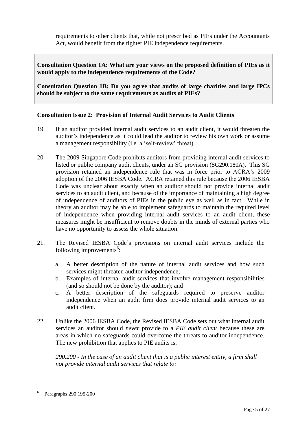requirements to other clients that, while not prescribed as PIEs under the Accountants Act, would benefit from the tighter PIE independence requirements.

**Consultation Question 1A: What are your views on the proposed definition of PIEs as it would apply to the independence requirements of the Code?**

**Consultation Question 1B: Do you agree that audits of large charities and large IPCs should be subject to the same requirements as audits of PIEs?** 

#### **Consultation Issue 2: Provision of Internal Audit Services to Audit Clients**

- 19. If an auditor provided internal audit services to an audit client, it would threaten the auditor's independence as it could lead the auditor to review his own work or assume a management responsibility (i.e. a 'self-review' threat).
- 20. The 2009 Singapore Code prohibits auditors from providing internal audit services to listed or public company audit clients, under an SG provision (SG290.180A). This SG provision retained an independence rule that was in force prior to ACRA's 2009 adoption of the 2006 IESBA Code. ACRA retained this rule because the 2006 IESBA Code was unclear about exactly when an auditor should not provide internal audit services to an audit client, and because of the importance of maintaining a high degree of independence of auditors of PIEs in the public eye as well as in fact. While in theory an auditor may be able to implement safeguards to maintain the required level of independence when providing internal audit services to an audit client, these measures might be insufficient to remove doubts in the minds of external parties who have no opportunity to assess the whole situation.
- 21. The Revised IESBA Code's provisions on internal audit services include the following improvements<sup>6</sup>:
	- a. A better description of the nature of internal audit services and how such services might threaten auditor independence;
	- b. Examples of internal audit services that involve management responsibilities (and so should not be done by the auditor); and
	- c. A better description of the safeguards required to preserve auditor independence when an audit firm does provide internal audit services to an audit client.
- 22. Unlike the 2006 IESBA Code, the Revised IESBA Code sets out what internal audit services an auditor should *never* provide to a *PIE audit client* because these are areas in which no safeguards could overcome the threats to auditor independence. The new prohibition that applies to PIE audits is:

*290.200 - In the case of an audit client that is a public interest entity, a firm shall not provide internal audit services that relate to:*

<sup>6</sup> Paragraphs 290.195-200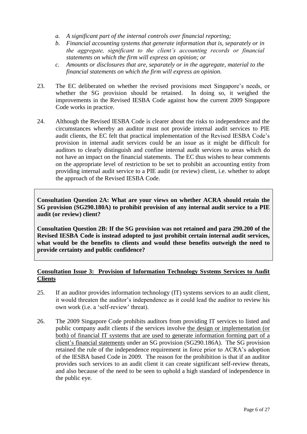- *a. A significant part of the internal controls over financial reporting;*
- *b. Financial accounting systems that generate information that is, separately or in the aggregate, significant to the client's accounting records or financial statements on which the firm will express an opinion; or*
- *c. Amounts or disclosures that are, separately or in the aggregate, material to the financial statements on which the firm will express an opinion.*
- 23. The EC deliberated on whether the revised provisions meet Singapore's needs, or whether the SG provision should be retained. In doing so, it weighed the improvements in the Revised IESBA Code against how the current 2009 Singapore Code works in practice.
- 24. Although the Revised IESBA Code is clearer about the risks to independence and the circumstances whereby an auditor must not provide internal audit services to PIE audit clients, the EC felt that practical implementation of the Revised IESBA Code's provision in internal audit services could be an issue as it might be difficult for auditors to clearly distinguish and confine internal audit services to areas which do not have an impact on the financial statements. The EC thus wishes to hear comments on the appropriate level of restriction to be set to prohibit an accounting entity from providing internal audit service to a PIE audit (or review) client, i.e. whether to adopt the approach of the Revised IESBA Code.

**Consultation Question 2A: What are your views on whether ACRA should retain the SG provision (SG290.180A) to prohibit provision of any internal audit service to a PIE audit (or review) client?** 

**Consultation Question 2B: If the SG provision was not retained and para 290.200 of the Revised IESBA Code is instead adopted to just prohibit certain internal audit services, what would be the benefits to clients and would these benefits outweigh the need to provide certainty and public confidence?**

#### **Consultation Issue 3: Provision of Information Technology Systems Services to Audit Clients**

- 25. If an auditor provides information technology (IT) systems services to an audit client, it would threaten the auditor's independence as it could lead the auditor to review his own work (i.e. a 'self-review' threat).
- 26. The 2009 Singapore Code prohibits auditors from providing IT services to listed and public company audit clients if the services involve the design or implementation (or both) of financial IT systems that are used to generate information forming part of a client's financial statements under an SG provision (SG290.186A). The SG provision retained the rule of the independence requirement in force prior to ACRA's adoption of the IESBA based Code in 2009. The reason for the prohibition is that if an auditor provides such services to an audit client it can create significant self-review threats, and also because of the need to be seen to uphold a high standard of independence in the public eye.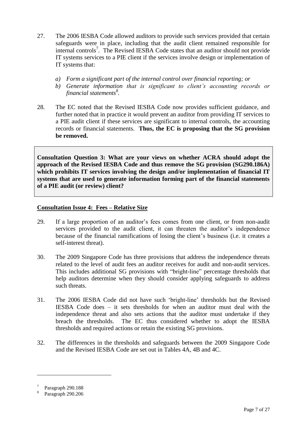- 27. The 2006 IESBA Code allowed auditors to provide such services provided that certain safeguards were in place, including that the audit client remained responsible for internal controls<sup>7</sup>. The Revised IESBA Code states that an auditor should not provide IT systems services to a PIE client if the services involve design or implementation of IT systems that:
	- *a) Form a significant part of the internal control over financial reporting; or*
	- *b) Generate information that is significant to client's accounting records or financial statements<sup>8</sup> .*
- 28. The EC noted that the Revised IESBA Code now provides sufficient guidance, and further noted that in practice it would prevent an auditor from providing IT services to a PIE audit client if these services are significant to internal controls, the accounting records or financial statements. **Thus, the EC is proposing that the SG provision be removed.**

**Consultation Question 3: What are your views on whether ACRA should adopt the approach of the Revised IESBA Code and thus remove the SG provision (SG290.186A) which prohibits IT services involving the design and/or implementation of financial IT systems that are used to generate information forming part of the financial statements of a PIE audit (or review) client?**

#### **Consultation Issue 4: Fees – Relative Size**

- 29. If a large proportion of an auditor's fees comes from one client, or from non-audit services provided to the audit client, it can threaten the auditor's independence because of the financial ramifications of losing the client's business (i.e. it creates a self-interest threat).
- 30. The 2009 Singapore Code has three provisions that address the independence threats related to the level of audit fees an auditor receives for audit and non-audit services. This includes additional SG provisions with "bright-line" percentage thresholds that help auditors determine when they should consider applying safeguards to address such threats.
- 31. The 2006 IESBA Code did not have such 'bright-line' thresholds but the Revised IESBA Code does – it sets thresholds for when an auditor must deal with the independence threat and also sets actions that the auditor must undertake if they breach the thresholds. The EC thus considered whether to adopt the IESBA thresholds and required actions or retain the existing SG provisions.
- 32. The differences in the thresholds and safeguards between the 2009 Singapore Code and the Revised IESBA Code are set out in Tables 4A, 4B and 4C.

<sup>7</sup> Paragraph 290.188

<sup>8</sup> Paragraph 290.206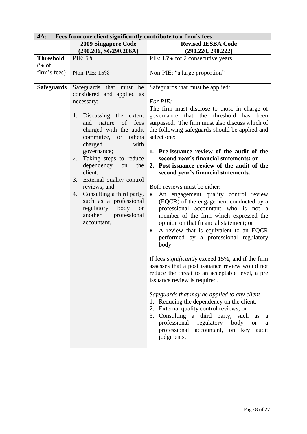| 4A:<br>Fees from one client significantly contribute to a firm's fees |                                                                                                                                                                                                                                                                                                                                                                                                                                                                                  |                                                                                                                                                                                                                                                                                                                                                                                                                                                                                                                                                                                                                                                                                                                                                                                                                                                                                                                                                                                                                                                                                                                                                                                                                                                                                                                                       |
|-----------------------------------------------------------------------|----------------------------------------------------------------------------------------------------------------------------------------------------------------------------------------------------------------------------------------------------------------------------------------------------------------------------------------------------------------------------------------------------------------------------------------------------------------------------------|---------------------------------------------------------------------------------------------------------------------------------------------------------------------------------------------------------------------------------------------------------------------------------------------------------------------------------------------------------------------------------------------------------------------------------------------------------------------------------------------------------------------------------------------------------------------------------------------------------------------------------------------------------------------------------------------------------------------------------------------------------------------------------------------------------------------------------------------------------------------------------------------------------------------------------------------------------------------------------------------------------------------------------------------------------------------------------------------------------------------------------------------------------------------------------------------------------------------------------------------------------------------------------------------------------------------------------------|
|                                                                       | <b>2009 Singapore Code</b>                                                                                                                                                                                                                                                                                                                                                                                                                                                       | <b>Revised IESBA Code</b>                                                                                                                                                                                                                                                                                                                                                                                                                                                                                                                                                                                                                                                                                                                                                                                                                                                                                                                                                                                                                                                                                                                                                                                                                                                                                                             |
|                                                                       | (290.206, SG290.206A)                                                                                                                                                                                                                                                                                                                                                                                                                                                            | (290.220, 290.222)                                                                                                                                                                                                                                                                                                                                                                                                                                                                                                                                                                                                                                                                                                                                                                                                                                                                                                                                                                                                                                                                                                                                                                                                                                                                                                                    |
| <b>Threshold</b>                                                      | PIE: 5%                                                                                                                                                                                                                                                                                                                                                                                                                                                                          | PIE: 15% for 2 consecutive years                                                                                                                                                                                                                                                                                                                                                                                                                                                                                                                                                                                                                                                                                                                                                                                                                                                                                                                                                                                                                                                                                                                                                                                                                                                                                                      |
| $(% \mathcal{L}_{0}^{\infty}$ of                                      |                                                                                                                                                                                                                                                                                                                                                                                                                                                                                  |                                                                                                                                                                                                                                                                                                                                                                                                                                                                                                                                                                                                                                                                                                                                                                                                                                                                                                                                                                                                                                                                                                                                                                                                                                                                                                                                       |
| firm's fees)                                                          | Non-PIE: 15%                                                                                                                                                                                                                                                                                                                                                                                                                                                                     | Non-PIE: "a large proportion"                                                                                                                                                                                                                                                                                                                                                                                                                                                                                                                                                                                                                                                                                                                                                                                                                                                                                                                                                                                                                                                                                                                                                                                                                                                                                                         |
| <b>Safeguards</b>                                                     | Safeguards that must be<br>considered and applied as<br>necessary:<br>Discussing the extent<br>1.<br>and nature<br>of<br>fees<br>charged with the audit<br>committee, or<br>others<br>charged<br>with<br>governance;<br>Taking steps to reduce<br>2.<br>dependency<br>the<br>on<br>client;<br>External quality control<br>3.<br>reviews; and<br>4. Consulting a third party,<br>such as a professional<br>regulatory body<br><b>or</b><br>professional<br>another<br>accountant. | Safeguards that must be applied:<br>For PIE:<br>The firm must disclose to those in charge of<br>governance that the threshold has been<br>surpassed. The firm must also discuss which of<br>the following safeguards should be applied and<br>select one:<br>1. Pre-issuance review of the audit of the<br>second year's financial statements; or<br>2. Post-issuance review of the audit of the<br>second year's financial statements.<br>Both reviews must be either:<br>An engagement quality control review<br>$\bullet$<br>(EQCR) of the engagement conducted by a<br>professional accountant who is not a<br>member of the firm which expressed the<br>opinion on that financial statement; or<br>A review that is equivalent to an EQCR<br>$\bullet$<br>performed by a professional regulatory<br>body<br>If fees <i>significantly</i> exceed 15%, and if the firm<br>assesses that a post issuance review would not<br>reduce the threat to an acceptable level, a pre<br>issuance review is required.<br>Safeguards that may be applied to <u>any</u> client<br>Reducing the dependency on the client;<br>1.<br>2. External quality control reviews; or<br>3. Consulting a third party, such<br>as<br>a<br>professional<br>regulatory body<br><b>or</b><br>a<br>professional<br>on key<br>accountant,<br>audit<br>judgments. |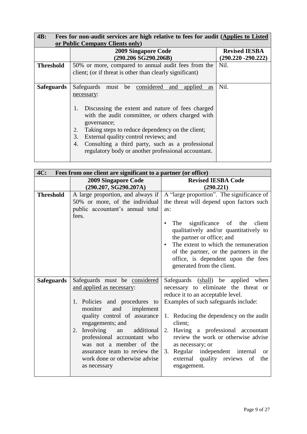| <b>4B:</b><br>Fees for non-audit services are high relative to fees for audit (Applies to Listed |                                                                                                                                                                                                                                                                                                                                                                                                                               |                       |
|--------------------------------------------------------------------------------------------------|-------------------------------------------------------------------------------------------------------------------------------------------------------------------------------------------------------------------------------------------------------------------------------------------------------------------------------------------------------------------------------------------------------------------------------|-----------------------|
|                                                                                                  | or Public Company Clients only)                                                                                                                                                                                                                                                                                                                                                                                               |                       |
|                                                                                                  | <b>2009 Singapore Code</b>                                                                                                                                                                                                                                                                                                                                                                                                    | <b>Revised IESBA</b>  |
|                                                                                                  | (290.206 SG290.206B)                                                                                                                                                                                                                                                                                                                                                                                                          | $(290.220 - 290.222)$ |
| <b>Threshold</b>                                                                                 | 50% or more, compared to annual audit fees from the<br>client; (or if threat is other than clearly significant)                                                                                                                                                                                                                                                                                                               | Nil.                  |
| <b>Safeguards</b>                                                                                | must be considered<br>Safeguards<br>and<br>applied<br>as<br>necessary:<br>Discussing the extent and nature of fees charged<br>1.<br>with the audit committee, or others charged with<br>governance;<br>Taking steps to reduce dependency on the client;<br>2.<br>3.<br>External quality control reviews; and<br>Consulting a third party, such as a professional<br>4.<br>regulatory body or another professional accountant. | Nil.                  |

| 4C:               | Fees from one client are significant to a partner (or office) |                                                                                                                                                                                                                                                                    |  |
|-------------------|---------------------------------------------------------------|--------------------------------------------------------------------------------------------------------------------------------------------------------------------------------------------------------------------------------------------------------------------|--|
|                   | <b>2009 Singapore Code</b>                                    | <b>Revised IESBA Code</b>                                                                                                                                                                                                                                          |  |
|                   | (290.207, SG290.207A)                                         | (290.221)                                                                                                                                                                                                                                                          |  |
| <b>Threshold</b>  | A large proportion, and always if                             | A "large proportion". The significance of                                                                                                                                                                                                                          |  |
|                   | 50% or more, of the individual                                | the threat will depend upon factors such                                                                                                                                                                                                                           |  |
|                   | public accountant's annual total                              | as:                                                                                                                                                                                                                                                                |  |
|                   | fees.                                                         |                                                                                                                                                                                                                                                                    |  |
|                   |                                                               | significance of the<br>client<br>The<br>qualitatively and/or quantitatively to<br>the partner or office; and<br>The extent to which the remuneration<br>of the partner, or the partners in the<br>office, is dependent upon the fees<br>generated from the client. |  |
| <b>Safeguards</b> | Safeguards must be considered                                 | Safeguards (shall) be<br>applied<br>when                                                                                                                                                                                                                           |  |
|                   | and applied as necessary:                                     | necessary to eliminate the threat or                                                                                                                                                                                                                               |  |
|                   |                                                               | reduce it to an acceptable level.                                                                                                                                                                                                                                  |  |
|                   | 1. Policies and procedures to                                 | Examples of such safeguards include:                                                                                                                                                                                                                               |  |
|                   | monitor<br>and<br>implement                                   |                                                                                                                                                                                                                                                                    |  |
|                   | quality control of assurance                                  | 1. Reducing the dependency on the audit                                                                                                                                                                                                                            |  |
|                   | engagements; and<br>2. Involving<br>additional<br>an          | client;<br>Having a professional accountant<br>2.                                                                                                                                                                                                                  |  |
|                   | professional accountant who                                   | review the work or otherwise advise                                                                                                                                                                                                                                |  |
|                   | was not a member of the                                       | as necessary; or                                                                                                                                                                                                                                                   |  |
|                   | assurance team to review the                                  | Regular independent internal<br>3.<br><sub>or</sub>                                                                                                                                                                                                                |  |
|                   | work done or otherwise advise                                 | external quality reviews<br>of<br>the                                                                                                                                                                                                                              |  |
|                   | as necessary                                                  | engagement.                                                                                                                                                                                                                                                        |  |
|                   |                                                               |                                                                                                                                                                                                                                                                    |  |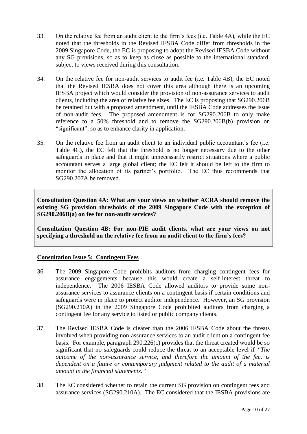- 33. On the relative fee from an audit client to the firm's fees (i.e. Table 4A), while the EC noted that the thresholds in the Revised IESBA Code differ from thresholds in the 2009 Singapore Code, the EC is proposing to adopt the Revised IESBA Code without any SG provisions, so as to keep as close as possible to the international standard, subject to views received during this consultation.
- 34. On the relative fee for non-audit services to audit fee (i.e. Table 4B), the EC noted that the Revised IESBA does not cover this area although there is an upcoming IESBA project which would consider the provision of non-assurance services to audit clients, including the area of relative fee sizes. The EC is proposing that SG290.206B be retained but with a proposed amendment, until the IESBA Code addresses the issue of non-audit fees. The proposed amendment is for SG290.206B to only make reference to a 50% threshold and to remove the SG290.206B(b) provision on "significant", so as to enhance clarity in application.
- 35. On the relative fee from an audit client to an individual public accountant's fee (i.e. Table 4C), the EC felt that the threshold is no longer necessary due to the other safeguards in place and that it might unnecessarily restrict situations where a public accountant serves a large global client; the EC felt it should be left to the firm to monitor the allocation of its partner's portfolio. The EC thus recommends that SG290.207A be removed.

**Consultation Question 4A: What are your views on whether ACRA should remove the existing SG provision thresholds of the 2009 Singapore Code with the exception of SG290.206B(a) on fee for non-audit services?** 

**Consultation Question 4B: For non-PIE audit clients, what are your views on not specifying a threshold on the relative fee from an audit client to the firm's fees?**

### **Consultation Issue 5: Contingent Fees**

- 36. The 2009 Singapore Code prohibits auditors from charging contingent fees for assurance engagements because this would create a self-interest threat to independence. The 2006 IESBA Code allowed auditors to provide some nonassurance services to assurance clients on a contingent basis if certain conditions and safeguards were in place to protect auditor independence. However, an SG provision (SG290.210A) in the 2009 Singapore Code prohibited auditors from charging a contingent fee for any service to listed or public company clients.
- 37. The Revised IESBA Code is clearer than the 2006 IESBA Code about the threats involved when providing non-assurance services to an audit client on a contingent fee basis. For example, paragraph 290.226(c) provides that the threat created would be so significant that no safeguards could reduce the threat to an acceptable level if *"The outcome of the non-assurance service, and therefore the amount of the fee, is dependent on a future or contemporary judgment related to the audit of a material amount in the financial statements."*
- 38. The EC considered whether to retain the current SG provision on contingent fees and assurance services (SG290.210A). The EC considered that the IESBA provisions are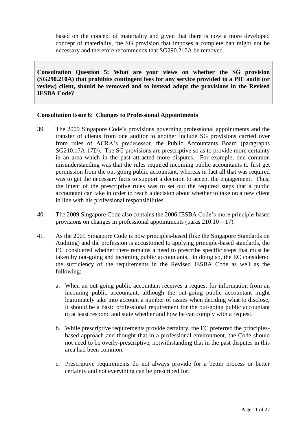based on the concept of materiality and given that there is now a more developed concept of materiality, the SG provision that imposes a complete ban might not be necessary and therefore recommends that SG290.210A be removed.

**Consultation Question 5: What are your views on whether the SG provision (SG290.210A) that prohibits contingent fees for any service provided to a PIE audit (or review) client, should be removed and to instead adopt the provisions in the Revised IESBA Code?**

#### **Consultation Issue 6: Changes to Professional Appointments**

- 39. The 2009 Singapore Code's provisions governing professional appointments and the transfer of clients from one auditor to another include SG provisions carried over from rules of ACRA's predecessor, the Public Accountants Board (paragraphs SG210.17A-17D). The SG provisions are prescriptive so as to provide more certainty in an area which in the past attracted more disputes. For example, one common misunderstanding was that the rules required incoming public accountants to first get permission from the out-going public accountant, whereas in fact all that was required was to get the necessary facts to support a decision to accept the engagement. Thus, the intent of the prescriptive rules was to set out the required steps that a public accountant can take in order to reach a decision about whether to take on a new client in line with his professional responsibilities.
- 40. The 2009 Singapore Code also contains the 2006 IESBA Code's more principle-based provisions on changes in professional appointments (paras  $210.10 - 17$ ).
- 41. As the 2009 Singapore Code is now principles-based (like the Singapore Standards on Auditing) and the profession is accustomed to applying principle-based standards, the EC considered whether there remains a need to prescribe specific steps that must be taken by out-going and incoming public accountants. In doing so, the EC considered the sufficiency of the requirements in the Revised IESBA Code as well as the following:
	- a. When an out-going public accountant receives a request for information from an incoming public accountant, although the out-going public accountant might legitimately take into account a number of issues when deciding what to disclose, it should be a basic professional requirement for the out-going public accountant to at least respond and state whether and how he can comply with a request.
	- b. While prescriptive requirements provide certainty, the EC preferred the principlesbased approach and thought that in a professional environment, the Code should not need to be overly-prescriptive, notwithstanding that in the past disputes in this area had been common.
	- c. Prescriptive requirements do not always provide for a better process or better certainty and not everything can be prescribed for.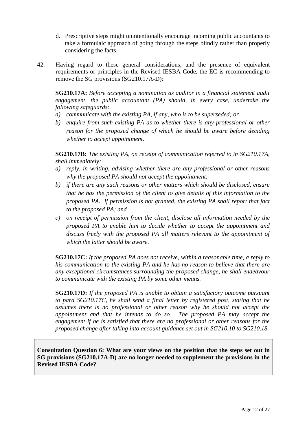- d. Prescriptive steps might unintentionally encourage incoming public accountants to take a formulaic approach of going through the steps blindly rather than properly considering the facts.
- 42. Having regard to these general considerations, and the presence of equivalent requirements or principles in the Revised IESBA Code, the EC is recommending to remove the SG provisions (SG210.17A-D):

**SG210.17A:** *Before accepting a nomination as auditor in a financial statement audit engagement, the public accountant (PA) should, in every case, undertake the following safeguards:*

- *a) communicate with the existing PA, if any, who is to be superseded; or*
- *b) enquire from such existing PA as to whether there is any professional or other reason for the proposed change of which he should be aware before deciding whether to accept appointment.*

**SG210.17B:** *The existing PA, on receipt of communication referred to in SG210.17A, shall immediately:*

- *a) reply, in writing, advising whether there are any professional or other reasons why the proposed PA should not accept the appointment;*
- *b) if there are any such reasons or other matters which should be disclosed, ensure that he has the permission of the client to give details of this information to the proposed PA. If permission is not granted, the existing PA shall report that fact to the proposed PA; and*
- *c) on receipt of permission from the client, disclose all information needed by the proposed PA to enable him to decide whether to accept the appointment and discuss freely with the proposed PA all matters relevant to the appointment of which the latter should be aware.*

**SG210.17C:** *If the proposed PA does not receive, within a reasonable time, a reply to his communication to the existing PA and he has no reason to believe that there are any exceptional circumstances surrounding the proposed change, he shall endeavour to communicate with the existing PA by some other means.*

**SG210.17D:** *If the proposed PA is unable to obtain a satisfactory outcome pursuant to para SG210.17C, he shall send a final letter by registered post, stating that he assumes there is no professional or other reason why he should not accept the appointment and that he intends to do so. The proposed PA may accept the engagement if he is satisfied that there are no professional or other reasons for the proposed change after taking into account guidance set out in SG210.10 to SG210.18.* 

**Consultation Question 6: What are your views on the position that the steps set out in SG provisions (SG210.17A-D) are no longer needed to supplement the provisions in the Revised IESBA Code?**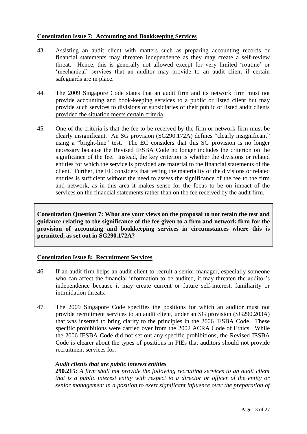#### **Consultation Issue 7: Accounting and Bookkeeping Services**

- 43. Assisting an audit client with matters such as preparing accounting records or financial statements may threaten independence as they may create a self-review threat. Hence, this is generally not allowed except for very limited 'routine' or 'mechanical' services that an auditor may provide to an audit client if certain safeguards are in place.
- 44. The 2009 Singapore Code states that an audit firm and its network firm must not provide accounting and book-keeping services to a public or listed client but may provide such services to divisions or subsidiaries of their public or listed audit clients provided the situation meets certain criteria.
- 45. One of the criteria is that the fee to be received by the firm or network firm must be clearly insignificant. An SG provision (SG290.172A) defines "clearly insignificant" using a "bright-line" test. The EC considers that this SG provision is no longer necessary because the Revised IESBA Code no longer includes the criterion on the significance of the fee. Instead, the key criterion is whether the divisions or related entities for which the service is provided are material to the financial statements of the client. Further, the EC considers that testing the materiality of the divisions or related entities is sufficient without the need to assess the significance of the fee to the firm and network, as in this area it makes sense for the focus to be on impact of the services on the financial statements rather than on the fee received by the audit firm.

**Consultation Question 7: What are your views on the proposal to not retain the test and guidance relating to the significance of the fee given to a firm and network firm for the provision of accounting and bookkeeping services in circumstances where this is permitted, as set out in SG290.172A?**

#### **Consultation Issue 8: Recruitment Services**

- 46. If an audit firm helps an audit client to recruit a senior manager, especially someone who can affect the financial information to be audited, it may threaten the auditor's independence because it may create current or future self-interest, familiarity or intimidation threats.
- 47. The 2009 Singapore Code specifies the positions for which an auditor must not provide recruitment services to an audit client, under an SG provision (SG290.203A) that was inserted to bring clarity to the principles in the 2006 IESBA Code. These specific prohibitions were carried over from the 2002 ACRA Code of Ethics. While the 2006 IESBA Code did not set out any specific prohibitions, the Revised IESBA Code is clearer about the types of positions in PIEs that auditors should not provide recruitment services for:

#### *Audit clients that are public interest entities*

**290.215:** *A firm shall not provide the following recruiting services to an audit client that is a public interest entity with respect to a director or officer of the entity or senior management in a position to exert significant influence over the preparation of*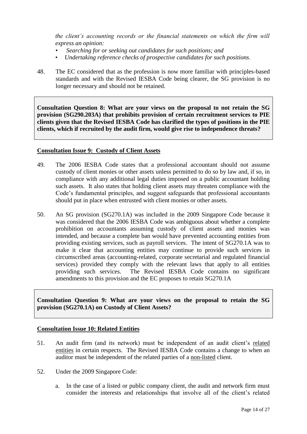*the client's accounting records or the financial statements on which the firm will express an opinion:*

- *• Searching for or seeking out candidates for such positions; and*
- *Undertaking reference checks of prospective candidates for such positions*.
- 48. The EC considered that as the profession is now more familiar with principles-based standards and with the Revised IESBA Code being clearer, the SG provision is no longer necessary and should not be retained.

**Consultation Question 8: What are your views on the proposal to not retain the SG provision (SG290.203A) that prohibits provision of certain recruitment services to PIE clients given that the Revised IESBA Code has clarified the types of positions in the PIE clients, which if recruited by the audit firm, would give rise to independence threats?** 

#### **Consultation Issue 9: Custody of Client Assets**

- 49. The 2006 IESBA Code states that a professional accountant should not assume custody of client monies or other assets unless permitted to do so by law and, if so, in compliance with any additional legal duties imposed on a public accountant holding such assets. It also states that holding client assets may threaten compliance with the Code's fundamental principles, and suggest safeguards that professional accountants should put in place when entrusted with client monies or other assets.
- 50. An SG provision (SG270.1A) was included in the 2009 Singapore Code because it was considered that the 2006 IESBA Code was ambiguous about whether a complete prohibition on accountants assuming custody of client assets and monies was intended, and because a complete ban would have prevented accounting entities from providing existing services, such as payroll services. The intent of SG270.1A was to make it clear that accounting entities may continue to provide such services in circumscribed areas (accounting-related, corporate secretarial and regulated financial services) provided they comply with the relevant laws that apply to all entities providing such services. The Revised IESBA Code contains no significant amendments to this provision and the EC proposes to retain SG270.1A

**Consultation Question 9: What are your views on the proposal to retain the SG provision (SG270.1A) on Custody of Client Assets?** 

#### **Consultation Issue 10: Related Entities**

- 51. An audit firm (and its network) must be independent of an audit client's related entities in certain respects. The Revised IESBA Code contains a change to when an auditor must be independent of the related parties of a non-listed client.
- 52. Under the 2009 Singapore Code:
	- a. In the case of a listed or public company client, the audit and network firm must consider the interests and relationships that involve all of the client's related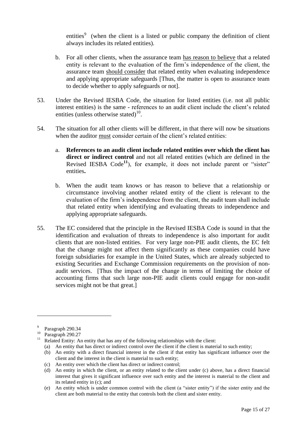entities<sup>9</sup> (when the client is a listed or public company the definition of client always includes its related entities).

- b. For all other clients, when the assurance team has reason to believe that a related entity is relevant to the evaluation of the firm's independence of the client, the assurance team should consider that related entity when evaluating independence and applying appropriate safeguards [Thus, the matter is open to assurance team to decide whether to apply safeguards or not].
- 53. Under the Revised IESBA Code, the situation for listed entities (i.e. not all public interest entities) is the same - references to an audit client include the client's related entities (unless otherwise stated) $^{10}$ .
- 54. The situation for all other clients will be different, in that there will now be situations when the auditor must consider certain of the client's related entities:
	- a. **References to an audit client include related entities over which the client has direct or indirect control** and not all related entities (which are defined in the Revised IESBA  $Code<sup>11</sup>$ , for example, it does not include parent or "sister" entities**.**
	- b. When the audit team knows or has reason to believe that a relationship or circumstance involving another related entity of the client is relevant to the evaluation of the firm's independence from the client, the audit team shall include that related entity when identifying and evaluating threats to independence and applying appropriate safeguards.
- 55. The EC considered that the principle in the Revised IESBA Code is sound in that the identification and evaluation of threats to independence is also important for audit clients that are non-listed entities. For very large non-PIE audit clients, the EC felt that the change might not affect them significantly as these companies could have foreign subsidiaries for example in the United States, which are already subjected to existing Securities and Exchange Commission requirements on the provision of nonaudit services. [Thus the impact of the change in terms of limiting the choice of accounting firms that such large non-PIE audit clients could engage for non-audit services might not be that great.]

<sup>9</sup> Paragraph 290.34

 $\frac{10}{11}$  Paragraph 290.27

Related Entity: An entity that has any of the following relationships with the client:

<sup>(</sup>a) An entity that has direct or indirect control over the client if the client is material to such entity;

<sup>(</sup>b) An entity with a direct financial interest in the client if that entity has significant influence over the client and the interest in the client is material to such entity;

<sup>(</sup>c) An entity over which the client has direct or indirect control;

<sup>(</sup>d) An entity in which the client, or an entity related to the client under (c) above, has a direct financial interest that gives it significant influence over such entity and the interest is material to the client and its related entity in (c); and

<sup>(</sup>e) An entity which is under common control with the client (a "sister entity") if the sister entity and the client are both material to the entity that controls both the client and sister entity.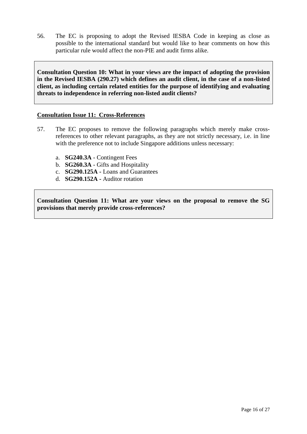56. The EC is proposing to adopt the Revised IESBA Code in keeping as close as possible to the international standard but would like to hear comments on how this particular rule would affect the non-PIE and audit firms alike.

**Consultation Question 10: What in your views are the impact of adopting the provision in the Revised IESBA (290.27) which defines an audit client, in the case of a non-listed client, as including certain related entities for the purpose of identifying and evaluating threats to independence in referring non-listed audit clients?** 

#### **Consultation Issue 11: Cross-References**

- 57. The EC proposes to remove the following paragraphs which merely make crossreferences to other relevant paragraphs, as they are not strictly necessary, i.e. in line with the preference not to include Singapore additions unless necessary:
	- a. **SG240.3A**  Contingent Fees
	- b. **SG260.3A**  Gifts and Hospitality
	- c. **SG290.125A -** Loans and Guarantees
	- d. **SG290.152A -** Auditor rotation

**Consultation Question 11: What are your views on the proposal to remove the SG provisions that merely provide cross-references?**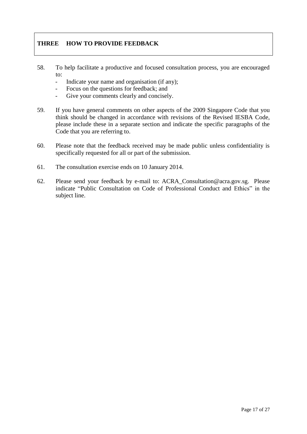### **THREE HOW TO PROVIDE FEEDBACK**

- 58. To help facilitate a productive and focused consultation process, you are encouraged to:
	- Indicate your name and organisation (if any);
	- Focus on the questions for feedback; and
	- Give your comments clearly and concisely.
- 59. If you have general comments on other aspects of the 2009 Singapore Code that you think should be changed in accordance with revisions of the Revised IESBA Code, please include these in a separate section and indicate the specific paragraphs of the Code that you are referring to.
- 60. Please note that the feedback received may be made public unless confidentiality is specifically requested for all or part of the submission.
- 61. The consultation exercise ends on 10 January 2014.
- 62. Please send your feedback by e-mail to: ACRA\_Consultation@acra.gov.sg. Please indicate "Public Consultation on Code of Professional Conduct and Ethics" in the subject line.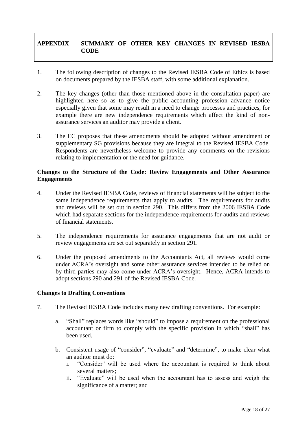## **APPENDIX SUMMARY OF OTHER KEY CHANGES IN REVISED IESBA CODE**

- 1. The following description of changes to the Revised IESBA Code of Ethics is based on documents prepared by the IESBA staff, with some additional explanation.
- 2. The key changes (other than those mentioned above in the consultation paper) are highlighted here so as to give the public accounting profession advance notice especially given that some may result in a need to change processes and practices, for example there are new independence requirements which affect the kind of nonassurance services an auditor may provide a client.
- 3. The EC proposes that these amendments should be adopted without amendment or supplementary SG provisions because they are integral to the Revised IESBA Code. Respondents are nevertheless welcome to provide any comments on the revisions relating to implementation or the need for guidance.

#### **Changes to the Structure of the Code: Review Engagements and Other Assurance Engagements**

- 4. Under the Revised IESBA Code, reviews of financial statements will be subject to the same independence requirements that apply to audits. The requirements for audits and reviews will be set out in section 290. This differs from the 2006 IESBA Code which had separate sections for the independence requirements for audits and reviews of financial statements.
- 5. The independence requirements for assurance engagements that are not audit or review engagements are set out separately in section 291.
- 6. Under the proposed amendments to the Accountants Act, all reviews would come under ACRA's oversight and some other assurance services intended to be relied on by third parties may also come under ACRA's oversight. Hence, ACRA intends to adopt sections 290 and 291 of the Revised IESBA Code.

#### **Changes to Drafting Conventions**

- 7. The Revised IESBA Code includes many new drafting conventions. For example:
	- a. "Shall" replaces words like "should" to impose a requirement on the professional accountant or firm to comply with the specific provision in which "shall" has been used.
	- b. Consistent usage of "consider", "evaluate" and "determine", to make clear what an auditor must do:
		- i. "Consider" will be used where the accountant is required to think about several matters;
		- ii. "Evaluate" will be used when the accountant has to assess and weigh the significance of a matter; and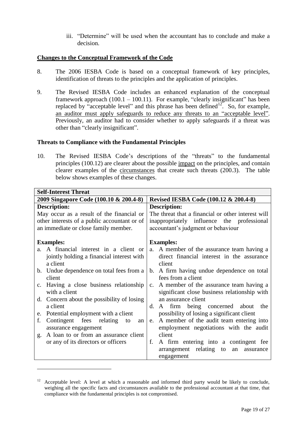iii. "Determine" will be used when the accountant has to conclude and make a decision.

#### **Changes to the Conceptual Framework of the Code**

- 8. The 2006 IESBA Code is based on a conceptual framework of key principles, identification of threats to the principles and the application of principles.
- 9. The Revised IESBA Code includes an enhanced explanation of the conceptual framework approach  $(100.1 - 100.11)$ . For example, "clearly insignificant" has been replaced by "acceptable level" and this phrase has been defined  $12$ . So, for example, an auditor must apply safeguards to reduce any threats to an "acceptable level". Previously, an auditor had to consider whether to apply safeguards if a threat was other than "clearly insignificant".

#### **Threats to Compliance with the Fundamental Principles**

1

10. The Revised IESBA Code's descriptions of the "threats" to the fundamental principles (100.12) are clearer about the possible impact on the principles, and contain clearer examples of the circumstances that create such threats (200.3). The table below shows examples of these changes.

| <b>Self-Interest Threat</b>                                                                                                                                                                                                                                                                                                                                                                                                                                                                                     |                                                                                                                                                                                                                                                                                                                                                                                                                                                                                                                                                                                         |  |
|-----------------------------------------------------------------------------------------------------------------------------------------------------------------------------------------------------------------------------------------------------------------------------------------------------------------------------------------------------------------------------------------------------------------------------------------------------------------------------------------------------------------|-----------------------------------------------------------------------------------------------------------------------------------------------------------------------------------------------------------------------------------------------------------------------------------------------------------------------------------------------------------------------------------------------------------------------------------------------------------------------------------------------------------------------------------------------------------------------------------------|--|
| 2009 Singapore Code (100.10 & 200.4-8)                                                                                                                                                                                                                                                                                                                                                                                                                                                                          | Revised IESBA Code (100.12 & 200.4-8)                                                                                                                                                                                                                                                                                                                                                                                                                                                                                                                                                   |  |
| <b>Description:</b>                                                                                                                                                                                                                                                                                                                                                                                                                                                                                             | Description:                                                                                                                                                                                                                                                                                                                                                                                                                                                                                                                                                                            |  |
| May occur as a result of the financial or                                                                                                                                                                                                                                                                                                                                                                                                                                                                       | The threat that a financial or other interest will                                                                                                                                                                                                                                                                                                                                                                                                                                                                                                                                      |  |
| other interests of a public accountant or of                                                                                                                                                                                                                                                                                                                                                                                                                                                                    | inappropriately influence the professional                                                                                                                                                                                                                                                                                                                                                                                                                                                                                                                                              |  |
| an immediate or close family member.                                                                                                                                                                                                                                                                                                                                                                                                                                                                            | accountant's judgment or behaviour                                                                                                                                                                                                                                                                                                                                                                                                                                                                                                                                                      |  |
| <b>Examples:</b><br>A financial interest in a client or<br>$a_{-}$<br>jointly holding a financial interest with<br>a client<br>b. Undue dependence on total fees from a<br>client<br>c. Having a close business relationship<br>with a client<br>d. Concern about the possibility of losing<br>a client<br>Potential employment with a client<br>e.<br>Contingent fees relating<br>f.<br>to<br>an<br>assurance engagement<br>A loan to or from an assurance client<br>g.<br>or any of its directors or officers | <b>Examples:</b><br>A member of the assurance team having a<br>a.<br>direct financial interest in the assurance<br>client<br>b. A firm having undue dependence on total<br>fees from a client<br>A member of the assurance team having a<br>$c_{\cdot}$<br>significant close business relationship with<br>an assurance client<br>A firm being concerned about<br>$d_{\cdot}$<br>the<br>possibility of losing a significant client<br>A member of the audit team entering into<br>e.<br>employment negotiations with the audit<br>client<br>f.<br>A firm entering into a contingent fee |  |
|                                                                                                                                                                                                                                                                                                                                                                                                                                                                                                                 | arrangement relating to<br>an<br>assurance<br>engagement                                                                                                                                                                                                                                                                                                                                                                                                                                                                                                                                |  |

 $12$  Acceptable level: A level at which a reasonable and informed third party would be likely to conclude, weighing all the specific facts and circumstances available to the professional accountant at that time, that compliance with the fundamental principles is not compromised.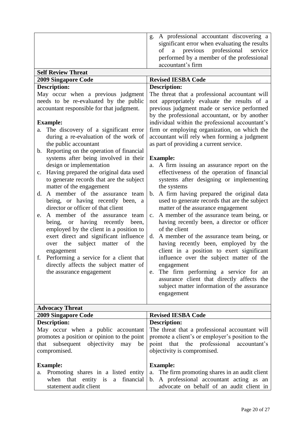|                    | g. A professional accountant discovering a<br>significant error when evaluating the results<br>of a previous professional service<br>performed by a member of the professional<br>accountant's firm |
|--------------------|-----------------------------------------------------------------------------------------------------------------------------------------------------------------------------------------------------|
| Calf Raview Threat |                                                                                                                                                                                                     |

| OCIL INCYICW THITCAL                               |                                                         |  |
|----------------------------------------------------|---------------------------------------------------------|--|
| <b>2009 Singapore Code</b>                         | <b>Revised IESBA Code</b>                               |  |
| <b>Description:</b>                                | <b>Description:</b>                                     |  |
| May occur when a previous judgment                 | The threat that a professional accountant will          |  |
| needs to be re-evaluated by the public             | not appropriately evaluate the results of a             |  |
| accountant responsible for that judgment.          | previous judgment made or service performed             |  |
|                                                    | by the professional accountant, or by another           |  |
| <b>Example:</b>                                    | individual within the professional accountant's         |  |
| a. The discovery of a significant error            | firm or employing organization, on which the            |  |
| during a re-evaluation of the work of              | accountant will rely when forming a judgment            |  |
| the public accountant                              | as part of providing a current service.                 |  |
| Reporting on the operation of financial<br>b.      |                                                         |  |
| systems after being involved in their              | <b>Example:</b>                                         |  |
| design or implementation                           | A firm issuing an assurance report on the<br>a.         |  |
| Having prepared the original data used<br>c.       | effectiveness of the operation of financial             |  |
| to generate records that are the subject           | systems after designing or implementing                 |  |
| matter of the engagement                           | the systems                                             |  |
| A member of the assurance team<br>d.               | A firm having prepared the original data<br>b.          |  |
| being, or having recently been, a                  | used to generate records that are the subject           |  |
| director or officer of that client                 | matter of the assurance engagement                      |  |
| A member of the assurance team<br>e.               | A member of the assurance team being, or<br>$c_{\cdot}$ |  |
| recently<br>being,<br>having<br><b>or</b><br>been, | having recently been, a director or officer             |  |
| employed by the client in a position to            | of the client                                           |  |
| exert direct and significant influence             | A member of the assurance team being, or<br>d.          |  |
| subject matter of the<br>the<br>over               | having recently been, employed by the                   |  |
| engagement                                         | client in a position to exert significant               |  |
| Performing a service for a client that<br>f.       | influence over the subject matter of the                |  |
| directly affects the subject matter of             | engagement                                              |  |
| the assurance engagement                           | The firm performing a service for an<br>e.              |  |
|                                                    | assurance client that directly affects the              |  |
|                                                    | subject matter information of the assurance             |  |
|                                                    | engagement                                              |  |
|                                                    |                                                         |  |
| <b>Advocacy Threat</b>                             |                                                         |  |
|                                                    |                                                         |  |

| <b>2009 Singapore Code</b>                      | <b>Revised IESBA Code</b>                                                                                                                                                           |
|-------------------------------------------------|-------------------------------------------------------------------------------------------------------------------------------------------------------------------------------------|
| <b>Description:</b>                             | <b>Description:</b>                                                                                                                                                                 |
|                                                 | May occur when a public accountant The threat that a professional accountant will<br>promotes a position or opinion to the point   promote a client's or employer's position to the |
| that subsequent objectivity may<br>compromised. | be point that the professional accountant's<br>objectivity is compromised.                                                                                                          |
|                                                 |                                                                                                                                                                                     |
| <b>Example:</b>                                 | <b>Example:</b>                                                                                                                                                                     |
|                                                 | a. Promoting shares in a listed entity a. The firm promoting shares in an audit client                                                                                              |
|                                                 | when that entity is a financial $\vert b$ . A professional accountant acting as an                                                                                                  |
| statement audit client                          | advocate on behalf of an audit client in                                                                                                                                            |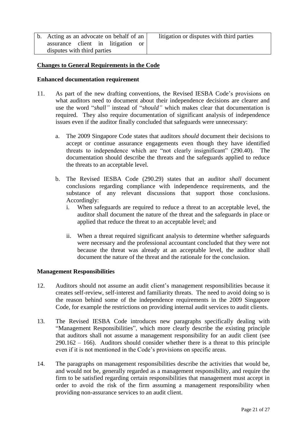b. Acting as an advocate on behalf of an assurance client in litigation or disputes with third parties

#### **Changes to General Requirements in the Code**

#### **Enhanced documentation requirement**

- 11. As part of the new drafting conventions, the Revised IESBA Code's provisions on what auditors need to document about their independence decisions are clearer and use the word "*shall"* instead of "*should"* which makes clear that documentation is required. They also require documentation of significant analysis of independence issues even if the auditor finally concluded that safeguards were unnecessary:
	- a. The 2009 Singapore Code states that auditors *should* document their decisions to accept or continue assurance engagements even though they have identified threats to independence which are "not clearly insignificant" (290.40). The documentation should describe the threats and the safeguards applied to reduce the threats to an acceptable level.
	- b. The Revised IESBA Code (290.29) states that an auditor *shall* document conclusions regarding compliance with independence requirements, and the substance of any relevant discussions that support those conclusions. Accordingly:
		- i. When safeguards are required to reduce a threat to an acceptable level, the auditor shall document the nature of the threat and the safeguards in place or applied that reduce the threat to an acceptable level; and
		- ii. When a threat required significant analysis to determine whether safeguards were necessary and the professional accountant concluded that they were not because the threat was already at an acceptable level, the auditor shall document the nature of the threat and the rationale for the conclusion.

#### **Management Responsibilities**

- 12. Auditors should not assume an audit client's management responsibilities because it creates self-review, self-interest and familiarity threats. The need to avoid doing so is the reason behind some of the independence requirements in the 2009 Singapore Code, for example the restrictions on providing internal audit services to audit clients.
- 13. The Revised IESBA Code introduces new paragraphs specifically dealing with "Management Responsibilities", which more clearly describe the existing principle that auditors shall not assume a management responsibility for an audit client (see  $290.162 - 166$ ). Auditors should consider whether there is a threat to this principle even if it is not mentioned in the Code's provisions on specific areas.
- 14. The paragraphs on management responsibilities describe the activities that would be, and would not be, generally regarded as a management responsibility, and require the firm to be satisfied regarding certain responsibilities that management must accept in order to avoid the risk of the firm assuming a management responsibility when providing non-assurance services to an audit client.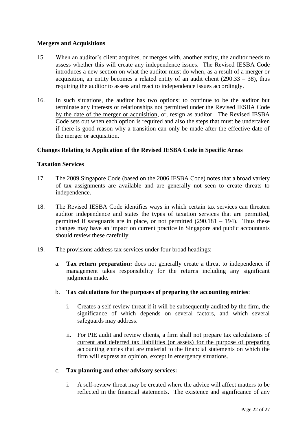#### **Mergers and Acquisitions**

- 15. When an auditor's client acquires, or merges with, another entity, the auditor needs to assess whether this will create any independence issues. The Revised IESBA Code introduces a new section on what the auditor must do when, as a result of a merger or acquisition, an entity becomes a related entity of an audit client  $(290.33 - 38)$ , thus requiring the auditor to assess and react to independence issues accordingly.
- 16. In such situations, the auditor has two options: to continue to be the auditor but terminate any interests or relationships not permitted under the Revised IESBA Code by the date of the merger or acquisition, or, resign as auditor. The Revised IESBA Code sets out when each option is required and also the steps that must be undertaken if there is good reason why a transition can only be made after the effective date of the merger or acquisition.

#### **Changes Relating to Application of the Revised IESBA Code in Specific Areas**

#### **Taxation Services**

- 17. The 2009 Singapore Code (based on the 2006 IESBA Code) notes that a broad variety of tax assignments are available and are generally not seen to create threats to independence.
- 18. The Revised IESBA Code identifies ways in which certain tax services can threaten auditor independence and states the types of taxation services that are permitted, permitted if safeguards are in place, or not permitted  $(290.181 - 194)$ . Thus these changes may have an impact on current practice in Singapore and public accountants should review these carefully.
- 19. The provisions address tax services under four broad headings:
	- a. **Tax return preparation:** does not generally create a threat to independence if management takes responsibility for the returns including any significant judgments made.
	- b. **Tax calculations for the purposes of preparing the accounting entries**:
		- i. Creates a self-review threat if it will be subsequently audited by the firm, the significance of which depends on several factors, and which several safeguards may address.
		- ii. For PIE audit and review clients, a firm shall not prepare tax calculations of current and deferred tax liabilities (or assets) for the purpose of preparing accounting entries that are material to the financial statements on which the firm will express an opinion, except in emergency situations.
	- c. **Tax planning and other advisory services:**
		- i. A self-review threat may be created where the advice will affect matters to be reflected in the financial statements. The existence and significance of any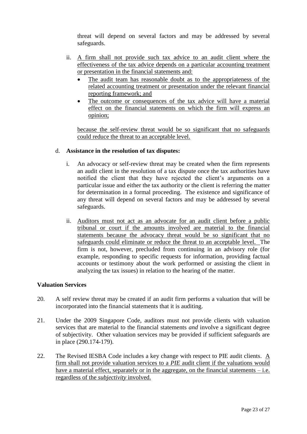threat will depend on several factors and may be addressed by several safeguards.

- ii. A firm shall not provide such tax advice to an audit client where the effectiveness of the tax advice depends on a particular accounting treatment or presentation in the financial statements and:
	- The audit team has reasonable doubt as to the appropriateness of the related accounting treatment or presentation under the relevant financial reporting framework; and
	- The outcome or consequences of the tax advice will have a material effect on the financial statements on which the firm will express an opinion;

because the self-review threat would be so significant that no safeguards could reduce the threat to an acceptable level.

#### d. **Assistance in the resolution of tax disputes:**

- i. An advocacy or self-review threat may be created when the firm represents an audit client in the resolution of a tax dispute once the tax authorities have notified the client that they have rejected the client's arguments on a particular issue and either the tax authority or the client is referring the matter for determination in a formal proceeding. The existence and significance of any threat will depend on several factors and may be addressed by several safeguards.
- ii. Auditors must not act as an advocate for an audit client before a public tribunal or court if the amounts involved are material to the financial statements because the advocacy threat would be so significant that no safeguards could eliminate or reduce the threat to an acceptable level. The firm is not, however, precluded from continuing in an advisory role (for example, responding to specific requests for information, providing factual accounts or testimony about the work performed or assisting the client in analyzing the tax issues) in relation to the hearing of the matter.

#### **Valuation Services**

- 20. A self review threat may be created if an audit firm performs a valuation that will be incorporated into the financial statements that it is auditing.
- 21. Under the 2009 Singapore Code, auditors must not provide clients with valuation services that are material to the financial statements *and* involve a significant degree of subjectivity. Other valuation services may be provided if sufficient safeguards are in place (290.174-179).
- 22. The Revised IESBA Code includes a key change with respect to PIE audit clients. A firm shall not provide valuation services to a *PIE* audit client if the valuations would have a material effect, separately or in the aggregate, on the financial statements  $-i.e.$ regardless of the *subjectivity* involved.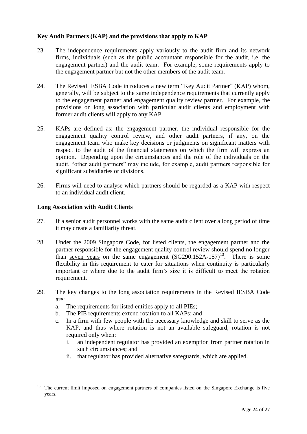#### **Key Audit Partners (KAP) and the provisions that apply to KAP**

- 23. The independence requirements apply variously to the audit firm and its network firms, individuals (such as the public accountant responsible for the audit, i.e. the engagement partner) and the audit team. For example, some requirements apply to the engagement partner but not the other members of the audit team.
- 24. The Revised IESBA Code introduces a new term "Key Audit Partner" (KAP) whom, generally, will be subject to the same independence requirements that currently apply to the engagement partner and engagement quality review partner. For example, the provisions on long association with particular audit clients and employment with former audit clients will apply to any KAP.
- 25. KAPs are defined as: the engagement partner, the individual responsible for the engagement quality control review, and other audit partners, if any, on the engagement team who make key decisions or judgments on significant matters with respect to the audit of the financial statements on which the firm will express an opinion. Depending upon the circumstances and the role of the individuals on the audit, "other audit partners" may include, for example, audit partners responsible for significant subsidiaries or divisions.
- 26. Firms will need to analyse which partners should be regarded as a KAP with respect to an individual audit client.

#### **Long Association with Audit Clients**

- 27. If a senior audit personnel works with the same audit client over a long period of time it may create a familiarity threat.
- 28. Under the 2009 Singapore Code, for listed clients, the engagement partner and the partner responsible for the engagement quality control review should spend no longer than seven years on the same engagement  $(SG290.152A-157)^{13}$ . There is some flexibility in this requirement to cater for situations when continuity is particularly important or where due to the audit firm's size it is difficult to meet the rotation requirement.
- 29. The key changes to the long association requirements in the Revised IESBA Code are:
	- a. The requirements for listed entities apply to all PIEs;
	- b. The PIE requirements extend rotation to all KAPs; and
	- c. In a firm with few people with the necessary knowledge and skill to serve as the KAP, and thus where rotation is not an available safeguard, rotation is not required only when:
		- i. an independent regulator has provided an exemption from partner rotation in such circumstances; and
		- ii. that regulator has provided alternative safeguards, which are applied.

<sup>&</sup>lt;sup>13</sup> The current limit imposed on engagement partners of companies listed on the Singapore Exchange is five years.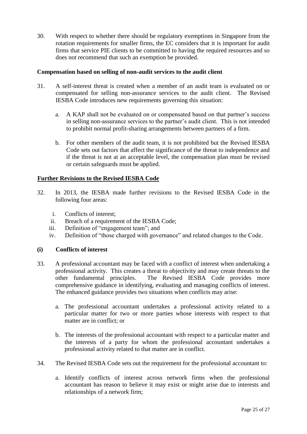30. With respect to whether there should be regulatory exemptions in Singapore from the rotation requirements for smaller firms, the EC considers that it is important for audit firms that service PIE clients to be committed to having the required resources and so does not recommend that such an exemption be provided.

#### **Compensation based on selling of non-audit services to the audit client**

- 31. A self-interest threat is created when a member of an audit team is evaluated on or compensated for selling non-assurance services to the audit client. The Revised IESBA Code introduces new requirements governing this situation:
	- a. A KAP shall not be evaluated on or compensated based on that partner's success in selling non-assurance services to the partner's audit client. This is not intended to prohibit normal profit-sharing arrangements between partners of a firm.
	- b. For other members of the audit team, it is not prohibited but the Revised IESBA Code sets out factors that affect the significance of the threat to independence and if the threat is not at an acceptable level, the compensation plan must be revised or certain safeguards must be applied.

#### **Further Revisions to the Revised IESBA Code**

- 32. In 2013, the IESBA made further revisions to the Revised IESBA Code in the following four areas:
	- i. Conflicts of interest;
	- ii. Breach of a requirement of the IESBA Code;
	- iii. Definition of "engagement team"; and
	- iv. Definition of "those charged with governance" and related changes to the Code.

#### **(i) Conflicts of interest**

- 33. A professional accountant may be faced with a conflict of interest when undertaking a professional activity. This creates a threat to objectivity and may create threats to the other fundamental principles. The Revised IESBA Code provides more comprehensive guidance in identifying, evaluating and managing conflicts of interest. The enhanced guidance provides two situations when conflicts may arise:
	- a. The professional accountant undertakes a professional activity related to a particular matter for two or more parties whose interests with respect to that matter are in conflict; or
	- b. The interests of the professional accountant with respect to a particular matter and the interests of a party for whom the professional accountant undertakes a professional activity related to that matter are in conflict.
- 34. The Revised IESBA Code sets out the requirement for the professional accountant to:
	- a. Identify conflicts of interest across network firms when the professional accountant has reason to believe it may exist or might arise due to interests and relationships of a network firm;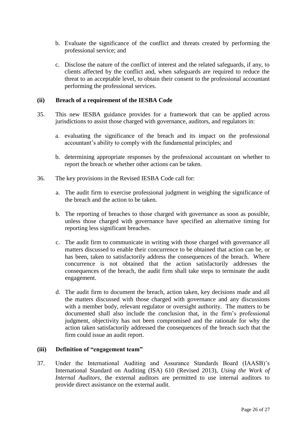- b. Evaluate the significance of the conflict and threats created by performing the professional service; and
- c. Disclose the nature of the conflict of interest and the related safeguards, if any, to clients affected by the conflict and, when safeguards are required to reduce the threat to an acceptable level, to obtain their consent to the professional accountant performing the professional services.

#### **(ii) Breach of a requirement of the IESBA Code**

- 35. This new IESBA guidance provides for a framework that can be applied across jurisdictions to assist those charged with governance, auditors, and regulators in:
	- a. evaluating the significance of the breach and its impact on the professional accountant's ability to comply with the fundamental principles; and
	- b. determining appropriate responses by the professional accountant on whether to report the breach or whether other actions can be taken.
- 36. The key provisions in the Revised IESBA Code call for:
	- a. The audit firm to exercise professional judgment in weighing the significance of the breach and the action to be taken.
	- b. The reporting of breaches to those charged with governance as soon as possible, unless those charged with governance have specified an alternative timing for reporting less significant breaches.
	- c. The audit firm to communicate in writing with those charged with governance all matters discussed to enable their concurrence to be obtained that action can be, or has been, taken to satisfactorily address the consequences of the breach. Where concurrence is not obtained that the action satisfactorily addresses the consequences of the breach, the audit firm shall take steps to terminate the audit engagement.
	- d. The audit firm to document the breach, action taken, key decisions made and all the matters discussed with those charged with governance and any discussions with a member body, relevant regulator or oversight authority. The matters to be documented shall also include the conclusion that, in the firm's professional judgment, objectivity has not been compromised and the rationale for why the action taken satisfactorily addressed the consequences of the breach such that the firm could issue an audit report.

#### **(iii) Definition of "engagement team"**

37. Under the International Auditing and Assurance Standards Board (IAASB)'s International Standard on Auditing (ISA) 610 (Revised 2013), *Using the Work of Internal Auditors*, the external auditors are permitted to use internal auditors to provide direct assistance on the external audit.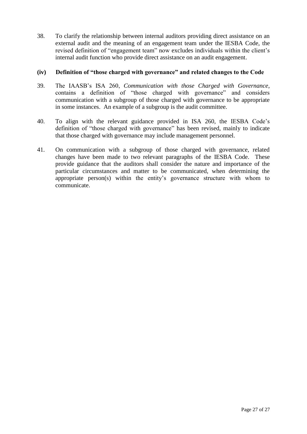38. To clarify the relationship between internal auditors providing direct assistance on an external audit and the meaning of an engagement team under the IESBA Code, the revised definition of "engagement team" now excludes individuals within the client's internal audit function who provide direct assistance on an audit engagement.

#### **(iv) Definition of "those charged with governance" and related changes to the Code**

- 39. The IAASB's ISA 260, *Communication with those Charged with Governance*, contains a definition of "those charged with governance" and considers communication with a subgroup of those charged with governance to be appropriate in some instances. An example of a subgroup is the audit committee.
- 40. To align with the relevant guidance provided in ISA 260, the IESBA Code's definition of "those charged with governance" has been revised, mainly to indicate that those charged with governance may include management personnel.
- 41. On communication with a subgroup of those charged with governance, related changes have been made to two relevant paragraphs of the IESBA Code. These provide guidance that the auditors shall consider the nature and importance of the particular circumstances and matter to be communicated, when determining the appropriate person(s) within the entity's governance structure with whom to communicate.